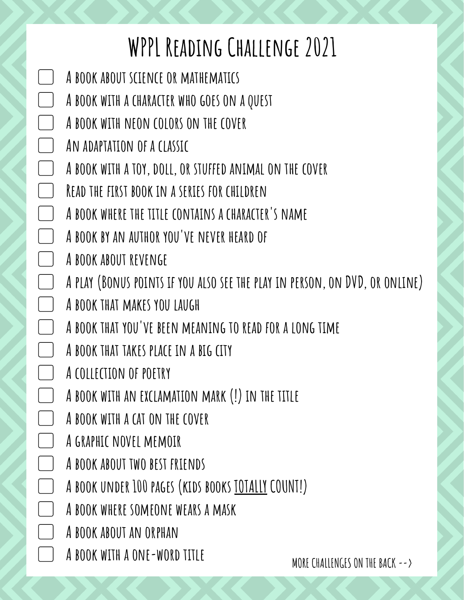## **WPPL Reading Challenge 2021**

- ▢ **A book about science or mathematics**
- ▢ **A book with a character who goes on a quest**
- ▢ **A book with neon colors on the cover**
- ▢ **An adaptation of a classic**
- ▢ **A book with a toy, doll, or stuffed animal on the cover**
	- ▢ **Read the first book in a series for children**
- ▢ **A book where the title contains a character's name**
- ▢ **A book by an author you've never heard of**
- ▢ **A book about revenge**
- ▢ **A play (Bonus points if you also see the play in person, on DVD, or online)**
- ▢ **A book that makes you laugh**
- ▢ **A book that you've been meaning to read for a long time**
- ▢ **A book that takes place in a big city**
- ▢ **A collection of poetry**
- ▢ **A book with an exclamation mark (!) in the title**
- ▢ **A book with a cat on the cover**
- ▢ **A graphic novel memoir**
- ▢ **A book about two best friends**
- ▢ **A book under 100 pages (kids books TOTALLY COUNT!)**
- ▢ **A book where someone wears a mask**
- ▢ **A book about an orphan**
- ▢ **A book with a one-word title**

**MORE CHALLENGES ON THE BACK-->**